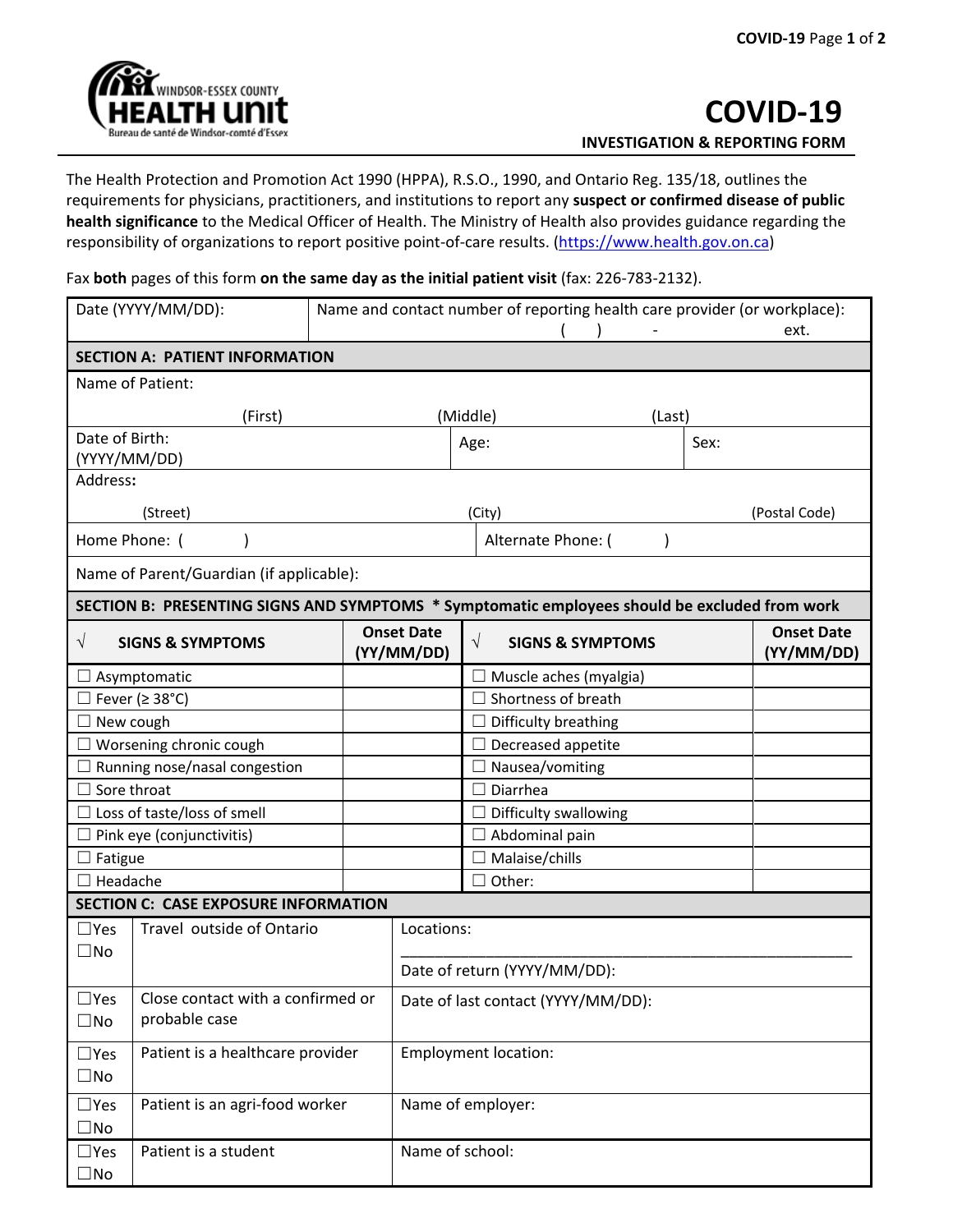

The Health Protection and Promotion Act 1990 (HPPA), R.S.O., 1990, and Ontario Reg. 135/18, outlines the requirements for physicians, practitioners, and institutions to report any **suspect or confirmed disease of public health significance** to the Medical Officer of Health. The Ministry of Health also provides guidance regarding the responsibility of organizations to report positive point-of-care results. [\(https://www.health.gov.on.ca\)](https://www.health.gov.on.ca/)

Fax **both** pages of this form **on the same day as the initial patient visit** (fax: 226-783-2132).

|                                             | Date (YYYY/MM/DD):<br>Name and contact number of reporting health care provider (or workplace):<br>ext. |  |                                    |                                                                                               |      |                                 |  |  |
|---------------------------------------------|---------------------------------------------------------------------------------------------------------|--|------------------------------------|-----------------------------------------------------------------------------------------------|------|---------------------------------|--|--|
| <b>SECTION A: PATIENT INFORMATION</b>       |                                                                                                         |  |                                    |                                                                                               |      |                                 |  |  |
| Name of Patient:                            |                                                                                                         |  |                                    |                                                                                               |      |                                 |  |  |
|                                             | (First)                                                                                                 |  | (Middle)<br>(Last)                 |                                                                                               |      |                                 |  |  |
|                                             | Date of Birth:<br>(YYYY/MM/DD)                                                                          |  | Age:                               |                                                                                               | Sex: |                                 |  |  |
| Address:                                    |                                                                                                         |  |                                    |                                                                                               |      |                                 |  |  |
| (Street)                                    |                                                                                                         |  | (City)                             |                                                                                               |      | (Postal Code)                   |  |  |
| Home Phone: (                               |                                                                                                         |  | Alternate Phone: (                 |                                                                                               |      |                                 |  |  |
| Name of Parent/Guardian (if applicable):    |                                                                                                         |  |                                    |                                                                                               |      |                                 |  |  |
|                                             |                                                                                                         |  |                                    | SECTION B: PRESENTING SIGNS AND SYMPTOMS * Symptomatic employees should be excluded from work |      |                                 |  |  |
| $\sqrt{ }$                                  | <b>SIGNS &amp; SYMPTOMS</b>                                                                             |  | <b>Onset Date</b><br>(YY/MM/DD)    | $\sqrt{}$<br><b>SIGNS &amp; SYMPTOMS</b>                                                      |      | <b>Onset Date</b><br>(YY/MM/DD) |  |  |
| Asymptomatic                                |                                                                                                         |  | $\Box$ Muscle aches (myalgia)      |                                                                                               |      |                                 |  |  |
| $\Box$ Fever ( $\geq$ 38°C)                 |                                                                                                         |  | Shortness of breath                |                                                                                               |      |                                 |  |  |
| New cough                                   |                                                                                                         |  |                                    | $\Box$ Difficulty breathing                                                                   |      |                                 |  |  |
| Worsening chronic cough                     |                                                                                                         |  |                                    | $\Box$ Decreased appetite                                                                     |      |                                 |  |  |
| Running nose/nasal congestion               |                                                                                                         |  |                                    | $\Box$ Nausea/vomiting                                                                        |      |                                 |  |  |
| Sore throat                                 |                                                                                                         |  |                                    | Diarrhea                                                                                      |      |                                 |  |  |
| Loss of taste/loss of smell                 |                                                                                                         |  | $\Box$ Difficulty swallowing       |                                                                                               |      |                                 |  |  |
| Pink eye (conjunctivitis)                   |                                                                                                         |  | $\exists$ Abdominal pain           |                                                                                               |      |                                 |  |  |
| Fatigue                                     |                                                                                                         |  |                                    | $\Box$ Malaise/chills                                                                         |      |                                 |  |  |
| Headache                                    |                                                                                                         |  |                                    | $\Box$ Other:                                                                                 |      |                                 |  |  |
| <b>SECTION C: CASE EXPOSURE INFORMATION</b> |                                                                                                         |  |                                    |                                                                                               |      |                                 |  |  |
| $\square$ Yes<br>$\square$ No               | Travel outside of Ontario                                                                               |  | Locations:                         |                                                                                               |      |                                 |  |  |
|                                             |                                                                                                         |  | Date of return (YYYY/MM/DD):       |                                                                                               |      |                                 |  |  |
| $\Box$ Yes<br>$\square$ No                  | Close contact with a confirmed or<br>probable case                                                      |  | Date of last contact (YYYY/MM/DD): |                                                                                               |      |                                 |  |  |
| $\square$ Yes<br>$\square$ No               | Patient is a healthcare provider                                                                        |  | <b>Employment location:</b>        |                                                                                               |      |                                 |  |  |
| $\square$ Yes<br>$\square$ No               | Patient is an agri-food worker                                                                          |  | Name of employer:                  |                                                                                               |      |                                 |  |  |
| $\square$ Yes<br>$\square$ No               | Patient is a student                                                                                    |  | Name of school:                    |                                                                                               |      |                                 |  |  |